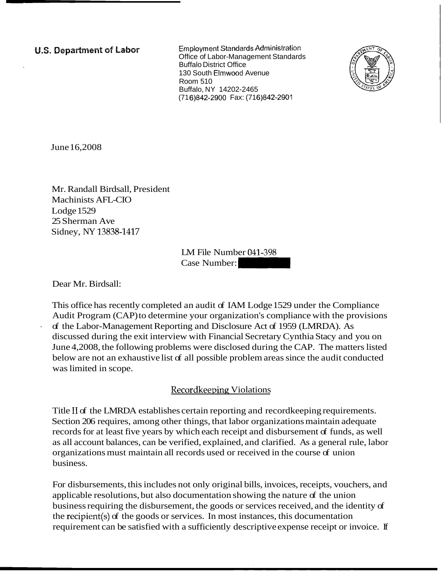**U.S. Department of Labor** 

**Employment Standards Administration** Office of Labor-Management Standards Buffalo District Office 130 South Elmwood Avenue Room 510 Buffalo, NY 14202-2465 (71 6)842-2900 Fax: (71 6)842-2901



June 16,2008

Mr. Randall Birdsall, President Machinists AFL-CIO Lodge 1529 25 Sherman Ave Sidney, NY 13838-1417

LM File Number 041-398 LM File Number 041-398<br>Case Number:

Dear Mr. Birdsall:

This office has recently completed an audit of IAM Lodge 1529 under the Compliance Audit Program (CAP) to determine your organization's compliance with the provisions of the Labor-Management Reporting and Disclosure Act of 1959 (LMRDA). As discussed during the exit interview with Financial Secretary Cynthia Stacy and you on June 4,2008, the following problems were disclosed during the CAP. The matters listed below are not an exhaustive list of all possible problem areas since the audit conducted was limited in scope.

## Recordkeeping Violations

Title I1 of the LMRDA establishes certain reporting and recordkeeping requirements. Section 206 requires, among other things, that labor organizations maintain adequate records for at least five years by which each receipt and disbursement of funds, as well as all account balances, can be verified, explained, and clarified. As a general rule, labor organizations must maintain all records used or received in the course of union business.

For disbursements, this includes not only original bills, invoices, receipts, vouchers, and applicable resolutions, but also documentation showing the nature of the union business requiring the disbursement, the goods or services received, and the identity of the recipient(s) of the goods or services. In most instances, this documentation requirement can be satisfied with a sufficiently descriptive expense receipt or invoice. If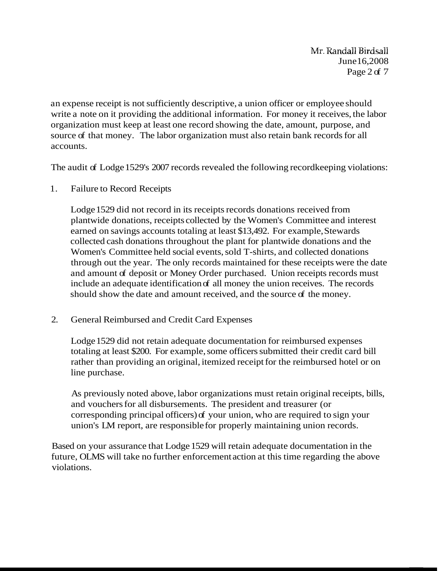-Mr. Randail Birdsaii June 16,2008 Page 2 of 7

an expense receipt is not sufficiently descriptive, a union officer or employee should write a note on it providing the additional information. For money it receives, the labor organization must keep at least one record showing the date, amount, purpose, and source of that money. The labor organization must also retain bank records for all accounts.

The audit of Lodge 1529's 2007 records revealed the following recordkeeping violations:

1. Failure to Record Receipts

Lodge 1529 did not record in its receipts records donations received from plantwide donations, receipts collected by the Women's Committee and interest earned on savings accounts totaling at least \$13,492. For example, Stewards collected cash donations throughout the plant for plantwide donations and the Women's Committee held social events, sold T-shirts, and collected donations through out the year. The only records maintained for these receipts were the date and amount of deposit or Money Order purchased. Union receipts records must include an adequate identification of all money the union receives. The records should show the date and amount received, and the source of the money.

2. General Reimbursed and Credit Card Expenses

Lodge 1529 did not retain adequate documentation for reimbursed expenses totaling at least \$200. For example, some officers submitted their credit card bill rather than providing an original, itemized receipt for the reimbursed hotel or on line purchase.

As previously noted above, labor organizations must retain original receipts, bills, and vouchers for all disbursements. The president and treasurer (or corresponding principal officers) of your union, who are required to sign your union's LM report, are responsible for properly maintaining union records.

Based on your assurance that Lodge 1529 will retain adequate documentation in the future, OLMS will take no further enforcement action at this time regarding the above violations.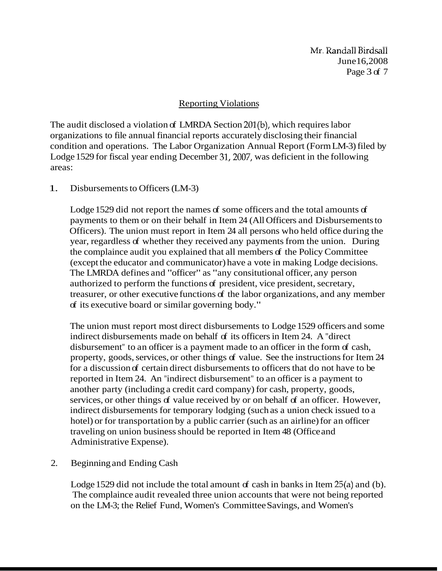Mr. Randall Birdsall June 16,2008 Page 3 of 7

#### Reporting Violations

The audit disclosed a violation of LMRDA Section 201(b), which requires labor organizations to file annual financial reports accurately disclosing their financial condition and operations. The Labor Organization Annual Report (Form LM-3) filed by Lodge 1529 for fiscal year ending December 31,2007, was deficient in the following areas:

#### 1. Disbursements to Officers (LM-3)

Lodge 1529 did not report the names of some officers and the total amounts of payments to them or on their behalf in Item 24 (All Officers and Disbursements to Officers). The union must report in Item 24 all persons who held office during the year, regardless of whether they received any payments from the union. During the complaince audit you explained that all members of the Policy Committee (except the educator and communicator) have a vote in making Lodge decisions. The LMRDA defines and "officer" as "any consitutional officer, any person authorized to perform the functions of president, vice president, secretary, treasurer, or other executive functions of the labor organizations, and any member of its executive board or similar governing body."

The union must report most direct disbursements to Lodge 1529 officers and some indirect disbursements made on behalf of its officers in Item 24. A "direct disbursement" to an officer is a payment made to an officer in the form of cash, property, goods, services, or other things of value. See the instructions for Item 24 for a discussion of certain direct disbursements to officers that do not have to be reported in Item 24. An "indirect disbursement" to an officer is a payment to another party (including a credit card company) for cash, property, goods, services, or other things of value received by or on behalf of an officer. However, indirect disbursements for temporary lodging (such as a union check issued to a hotel) or for transportation by a public carrier (such as an airline) for an officer traveling on union business should be reported in Item 48 (Office and Administrative Expense).

## 2. Beginning and Ending Cash

Lodge 1529 did not include the total amount of cash in banks in Item 25(a) and (b). The complaince audit revealed three union accounts that were not being reported on the LM-3; the Relief Fund, Women's Committee Savings, and Women's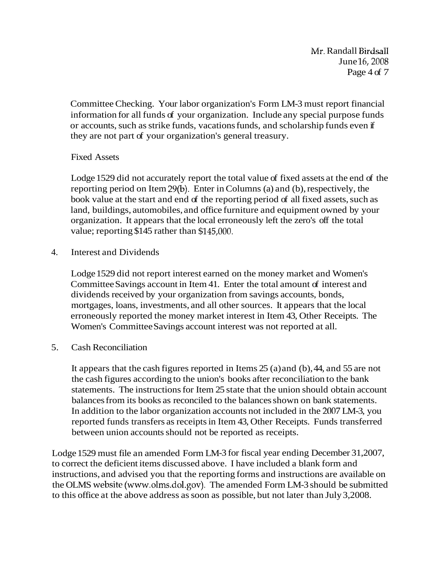**-Mr.** Randall Birdsall June 16,2008 Page 4 of 7

Committee Checking. Your labor organization's Form LM-3 must report financial information for all funds of your organization. Include any special purpose funds or accounts, such as strike funds, vacations funds, and scholarship funds even if they are not part of your organization's general treasury.

## Fixed Assets

Lodge 1529 did not accurately report the total value of fixed assets at the end of the reporting period on Item 29(b). Enter in Columns (a) and (b), respectively, the book value at the start and end of the reporting period of all fixed assets, such as land, buildings, automobiles, and office furniture and equipment owned by your organization. It appears that the local erroneously left the zero's off the total value; reporting \$145 rather than \$145,000.

4. Interest and Dividends

Lodge 1529 did not report interest earned on the money market and Women's Committee Savings account in Item 41. Enter the total amount of interest and dividends received by your organization from savings accounts, bonds, mortgages, loans, investments, and all other sources. It appears that the local erroneously reported the money market interest in Item 43, Other Receipts. The Women's Committee Savings account interest was not reported at all.

5. Cash Reconciliation

It appears that the cash figures reported in Items 25 (a) and (b), 44, and 55 are not the cash figures according to the union's books after reconciliation to the bank statements. The instructions for Item 25 state that the union should obtain account balances from its books as reconciled to the balances shown on bank statements. In addition to the labor organization accounts not included in the 2007 LM-3, you reported funds transfers as receipts in Item 43, Other Receipts. Funds transferred between union accounts should not be reported as receipts.

Lodge 1529 must file an amended Form LM-3 for fiscal year ending December 31,2007, to correct the deficient items discussed above. I have included a blank form and instructions, and advised you that the reporting forms and instructions are available on the OLMS website (www.olms.dol.gov). The amended Form LM-3 should be submitted to this office at the above address as soon as possible, but not later than July 3,2008.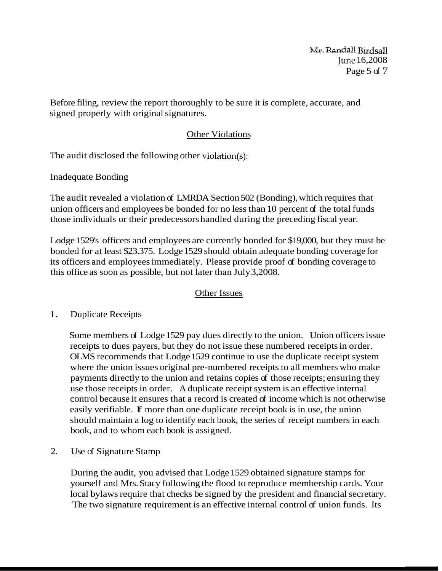$\bf{Mr}$ . Randall Birdsall June 16,2008 Page 5 of 7

Before filing, review the report thoroughly to be sure it is complete, accurate, and signed properly with original signatures.

# **Other Violations**

The audit disclosed the following other violation(s):

Inadequate Bonding

The audit revealed a violation of LMRDA Section 502 (Bonding), which requires that union officers and employees be bonded for no less than 10 percent of the total funds those individuals or their predecessors handled during the preceding fiscal year.

Lodge 1529's officers and employees are currently bonded for \$19,000, but they must be bonded for at least \$23.375. Lodge 1529 should obtain adequate bonding coverage for its officers and employees immediately. Please provide proof of bonding coverage to this office as soon as possible, but not later than July 3,2008.

# **Other Issues**

## 1. Duplicate Receipts

Some members of Lodge 1529 pay dues directly to the union. Union officers issue receipts to dues payers, but they do not issue these numbered receipts in order. OLMS recommends that Lodge 1529 continue to use the duplicate receipt system where the union issues original pre-numbered receipts to all members who make payments directly to the union and retains copies of those receipts; ensuring they use those receipts in order. A duplicate receipt system is an effective internal control because it ensures that a record is created of income which is not otherwise easily verifiable. If more than one duplicate receipt book is in use, the union should maintain a log to identify each book, the series of receipt numbers in each book, and to whom each book is assigned.

2. Use of Signature Stamp

During the audit, you advised that Lodge 1529 obtained signature stamps for yourself and Mrs. Stacy following the flood to reproduce membership cards. Your local bylaws require that checks be signed by the president and financial secretary. The two signature requirement is an effective internal control of union funds. Its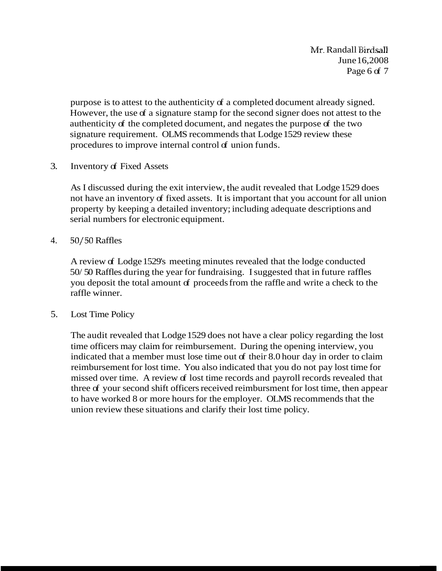Mr. Randall Birdsaii June 16,2008 Page 6 of 7

purpose is to attest to the authenticity of a completed document already signed. However, the use of a signature stamp for the second signer does not attest to the authenticity of the completed document, and negates the purpose of the two signature requirement. OLMS recommends that Lodge 1529 review these procedures to improve internal control of union funds.

3. Inventory of Fixed Assets

As I discussed during the exit interview, the audit revealed that Lodge 1529 does not have an inventory of fixed assets. It is important that you account for all union property by keeping a detailed inventory; including adequate descriptions and serial numbers for electronic equipment.

4. 50/50 Raffles

A review of Lodge 1529's meeting minutes revealed that the lodge conducted 50/ 50 Raffles during the year for fundraising. I suggested that in future raffles you deposit the total amount of proceeds from the raffle and write a check to the raffle winner.

5. Lost Time Policy

The audit revealed that Lodge 1529 does not have a clear policy regarding the lost time officers may claim for reimbursement. During the opening interview, you indicated that a member must lose time out of their 8.0 hour day in order to claim reimbursement for lost time. You also indicated that you do not pay lost time for missed over time. A review of lost time records and payroll records revealed that three of your second shift officers received reimbursment for lost time, then appear to have worked 8 or more hours for the employer. OLMS recommends that the union review these situations and clarify their lost time policy.